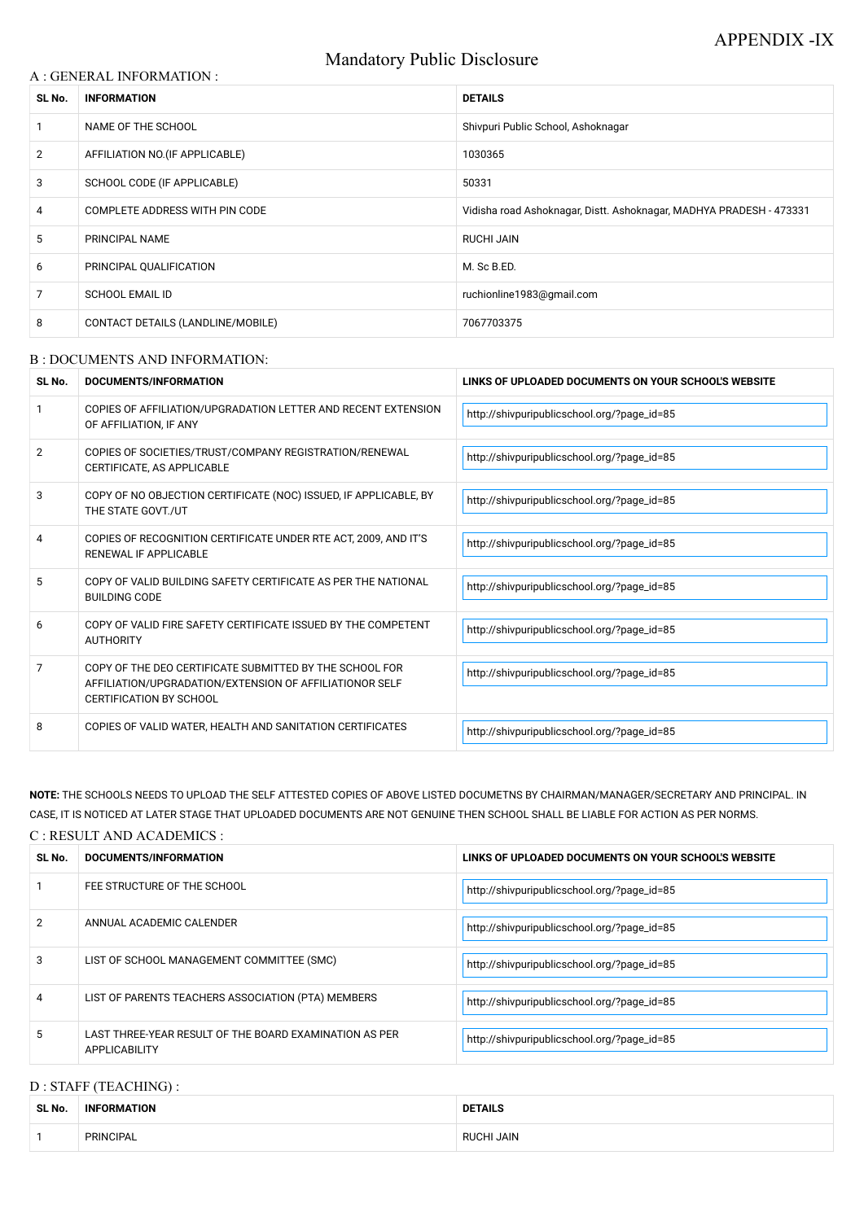# Mandatory Public Disclosure

### A : GENERAL INFORMATION :

| SL No.         | <b>INFORMATION</b>                | <b>DETAILS</b>                                                      |  |
|----------------|-----------------------------------|---------------------------------------------------------------------|--|
|                | NAME OF THE SCHOOL                | Shivpuri Public School, Ashoknagar                                  |  |
| $\overline{2}$ | AFFILIATION NO. (IF APPLICABLE)   | 1030365                                                             |  |
| 3              | SCHOOL CODE (IF APPLICABLE)       | 50331                                                               |  |
| 4              | COMPLETE ADDRESS WITH PIN CODE    | Vidisha road Ashoknagar, Distt. Ashoknagar, MADHYA PRADESH - 473331 |  |
| 5              | PRINCIPAL NAME                    | <b>RUCHI JAIN</b>                                                   |  |
| 6              | PRINCIPAL QUALIFICATION           | M. Sc B.ED.                                                         |  |
| 7              | <b>SCHOOL EMAIL ID</b>            | ruchionline1983@gmail.com                                           |  |
| 8              | CONTACT DETAILS (LANDLINE/MOBILE) | 7067703375                                                          |  |

#### B : DOCUMENTS AND INFORMATION:

| SL No.         | <b>DOCUMENTS/INFORMATION</b>                                                                                                                         | LINKS OF UPLOADED DOCUMENTS ON YOUR SCHOOL'S WEBSITE |
|----------------|------------------------------------------------------------------------------------------------------------------------------------------------------|------------------------------------------------------|
|                | COPIES OF AFFILIATION/UPGRADATION LETTER AND RECENT EXTENSION<br>OF AFFILIATION, IF ANY                                                              | http://shivpuripublicschool.org/?page_id=85          |
| 2              | COPIES OF SOCIETIES/TRUST/COMPANY REGISTRATION/RENEWAL<br>CERTIFICATE, AS APPLICABLE                                                                 | http://shivpuripublicschool.org/?page_id=85          |
| 3              | COPY OF NO OBJECTION CERTIFICATE (NOC) ISSUED, IF APPLICABLE, BY<br>THE STATE GOVT./UT                                                               | http://shivpuripublicschool.org/?page_id=85          |
| 4              | COPIES OF RECOGNITION CERTIFICATE UNDER RTE ACT, 2009, AND IT'S<br>RENEWAL IF APPLICABLE                                                             | http://shivpuripublicschool.org/?page_id=85          |
| 5              | COPY OF VALID BUILDING SAFETY CERTIFICATE AS PER THE NATIONAL<br><b>BUILDING CODE</b>                                                                | http://shivpuripublicschool.org/?page_id=85          |
| 6              | COPY OF VALID FIRE SAFETY CERTIFICATE ISSUED BY THE COMPETENT<br><b>AUTHORITY</b>                                                                    | http://shivpuripublicschool.org/?page_id=85          |
| $\overline{7}$ | COPY OF THE DEO CERTIFICATE SUBMITTED BY THE SCHOOL FOR<br>AFFILIATION/UPGRADATION/EXTENSION OF AFFILIATIONOR SELF<br><b>CERTIFICATION BY SCHOOL</b> | http://shivpuripublicschool.org/?page_id=85          |
| 8              | COPIES OF VALID WATER, HEALTH AND SANITATION CERTIFICATES                                                                                            | http://shivpuripublicschool.org/?page_id=85          |

| 2 | ANNUAL ACADEMIC CALENDER                                                       | http://shivpuripublicschool.org/?page_id=85 |
|---|--------------------------------------------------------------------------------|---------------------------------------------|
| 3 | LIST OF SCHOOL MANAGEMENT COMMITTEE (SMC)                                      | http://shivpuripublicschool.org/?page_id=85 |
| 4 | LIST OF PARENTS TEACHERS ASSOCIATION (PTA) MEMBERS                             | http://shivpuripublicschool.org/?page_id=85 |
| 5 | LAST THREE-YEAR RESULT OF THE BOARD EXAMINATION AS PER<br><b>APPLICABILITY</b> | http://shivpuripublicschool.org/?page_id=85 |

**NOTE:** THE SCHOOLS NEEDS TO UPLOAD THE SELF ATTESTED COPIES OF ABOVE LISTED DOCUMETNS BY CHAIRMAN/MANAGER/SECRETARY AND PRINCIPAL. IN CASE, IT IS NOTICED AT LATER STAGE THAT UPLOADED DOCUMENTS ARE NOT GENUINE THEN SCHOOL SHALL BE LIABLE FOR ACTION AS PER NORMS.

### C : RESULT AND ACADEMICS :

| SL No. | <b>DOCUMENTS/INFORMATION</b> | LINKS OF UPLOADED DOCUMENTS ON YOUR SCHOOL'S WEBSITE |  |
|--------|------------------------------|------------------------------------------------------|--|
|        | FEE STRUCTURE OF THE SCHOOL  | http://shivpuripublicschool.org/?page_id=85          |  |
| C.     | ANIMITAL ACADEMIC CALENIDED. |                                                      |  |

## D : STAFF (TEACHING) :

| SL No. | <b>INF</b><br>IATION | <b>:TAILS</b>             |  |
|--------|----------------------|---------------------------|--|
|        | <b>PRINCIPAL</b>     | <b>JAIN</b><br>ICHL<br>DI |  |